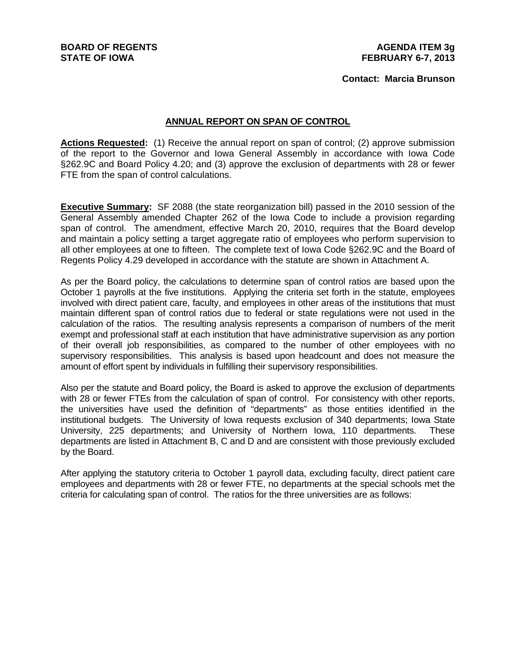#### **Contact: Marcia Brunson**

### **ANNUAL REPORT ON SPAN OF CONTROL**

**Actions Requested:** (1) Receive the annual report on span of control; (2) approve submission of the report to the Governor and Iowa General Assembly in accordance with Iowa Code §262.9C and Board Policy 4.20; and (3) approve the exclusion of departments with 28 or fewer FTE from the span of control calculations.

**Executive Summary:** SF 2088 (the state reorganization bill) passed in the 2010 session of the General Assembly amended Chapter 262 of the Iowa Code to include a provision regarding span of control. The amendment, effective March 20, 2010, requires that the Board develop and maintain a policy setting a target aggregate ratio of employees who perform supervision to all other employees at one to fifteen. The complete text of Iowa Code §262.9C and the Board of Regents Policy 4.29 developed in accordance with the statute are shown in Attachment A.

As per the Board policy, the calculations to determine span of control ratios are based upon the October 1 payrolls at the five institutions. Applying the criteria set forth in the statute, employees involved with direct patient care, faculty, and employees in other areas of the institutions that must maintain different span of control ratios due to federal or state regulations were not used in the calculation of the ratios. The resulting analysis represents a comparison of numbers of the merit exempt and professional staff at each institution that have administrative supervision as any portion of their overall job responsibilities, as compared to the number of other employees with no supervisory responsibilities. This analysis is based upon headcount and does not measure the amount of effort spent by individuals in fulfilling their supervisory responsibilities.

Also per the statute and Board policy, the Board is asked to approve the exclusion of departments with 28 or fewer FTEs from the calculation of span of control. For consistency with other reports, the universities have used the definition of "departments" as those entities identified in the institutional budgets. The University of Iowa requests exclusion of 340 departments; Iowa State University, 225 departments; and University of Northern Iowa, 110 departments. These departments are listed in Attachment B, C and D and are consistent with those previously excluded by the Board.

After applying the statutory criteria to October 1 payroll data, excluding faculty, direct patient care employees and departments with 28 or fewer FTE, no departments at the special schools met the criteria for calculating span of control. The ratios for the three universities are as follows: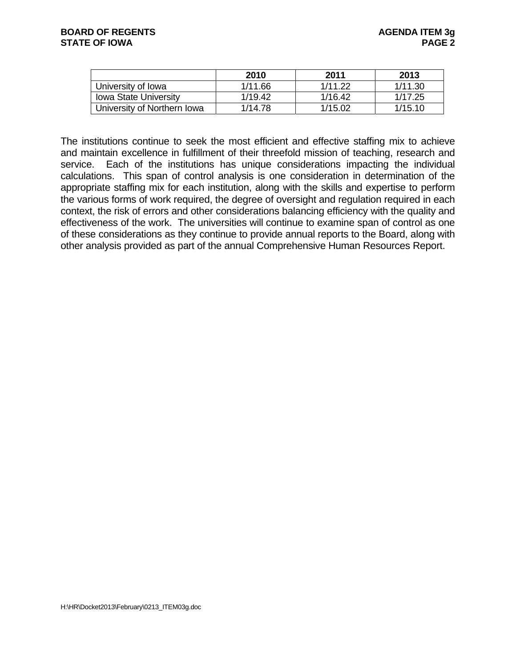|                              | 2010    | 2011    | 2013    |
|------------------------------|---------|---------|---------|
| University of Iowa           | 1/11.66 | 1/11.22 | 1/11.30 |
| <b>Iowa State University</b> | 1/19.42 | 1/16.42 | 1/17.25 |
| University of Northern Iowa  | 1/14.78 | 1/15.02 | 1/15.10 |

The institutions continue to seek the most efficient and effective staffing mix to achieve and maintain excellence in fulfillment of their threefold mission of teaching, research and service. Each of the institutions has unique considerations impacting the individual calculations. This span of control analysis is one consideration in determination of the appropriate staffing mix for each institution, along with the skills and expertise to perform the various forms of work required, the degree of oversight and regulation required in each context, the risk of errors and other considerations balancing efficiency with the quality and effectiveness of the work. The universities will continue to examine span of control as one of these considerations as they continue to provide annual reports to the Board, along with other analysis provided as part of the annual Comprehensive Human Resources Report.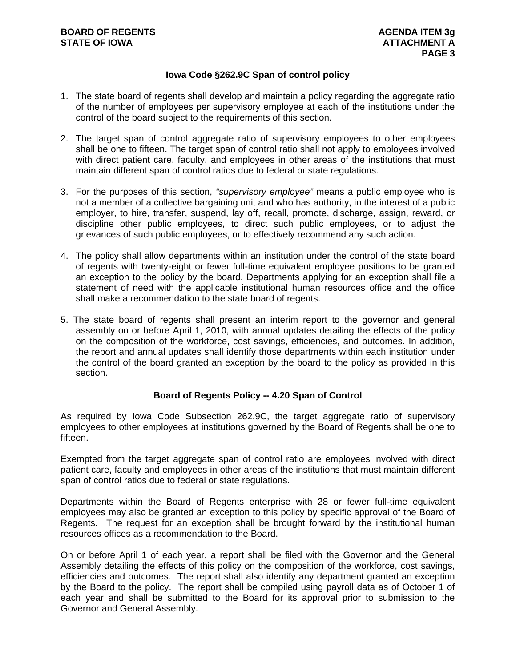# **Iowa Code §262.9C Span of control policy**

- 1. The state board of regents shall develop and maintain a policy regarding the aggregate ratio of the number of employees per supervisory employee at each of the institutions under the control of the board subject to the requirements of this section.
- 2. The target span of control aggregate ratio of supervisory employees to other employees shall be one to fifteen. The target span of control ratio shall not apply to employees involved with direct patient care, faculty, and employees in other areas of the institutions that must maintain different span of control ratios due to federal or state regulations.
- 3. For the purposes of this section, *"supervisory employee"* means a public employee who is not a member of a collective bargaining unit and who has authority, in the interest of a public employer, to hire, transfer, suspend, lay off, recall, promote, discharge, assign, reward, or discipline other public employees, to direct such public employees, or to adjust the grievances of such public employees, or to effectively recommend any such action.
- 4. The policy shall allow departments within an institution under the control of the state board of regents with twenty-eight or fewer full-time equivalent employee positions to be granted an exception to the policy by the board. Departments applying for an exception shall file a statement of need with the applicable institutional human resources office and the office shall make a recommendation to the state board of regents.
- 5. The state board of regents shall present an interim report to the governor and general assembly on or before April 1, 2010, with annual updates detailing the effects of the policy on the composition of the workforce, cost savings, efficiencies, and outcomes. In addition, the report and annual updates shall identify those departments within each institution under the control of the board granted an exception by the board to the policy as provided in this section.

# **Board of Regents Policy -- 4.20 Span of Control**

As required by Iowa Code Subsection 262.9C, the target aggregate ratio of supervisory employees to other employees at institutions governed by the Board of Regents shall be one to fifteen.

Exempted from the target aggregate span of control ratio are employees involved with direct patient care, faculty and employees in other areas of the institutions that must maintain different span of control ratios due to federal or state regulations.

Departments within the Board of Regents enterprise with 28 or fewer full-time equivalent employees may also be granted an exception to this policy by specific approval of the Board of Regents. The request for an exception shall be brought forward by the institutional human resources offices as a recommendation to the Board.

On or before April 1 of each year, a report shall be filed with the Governor and the General Assembly detailing the effects of this policy on the composition of the workforce, cost savings, efficiencies and outcomes. The report shall also identify any department granted an exception by the Board to the policy. The report shall be compiled using payroll data as of October 1 of each year and shall be submitted to the Board for its approval prior to submission to the Governor and General Assembly.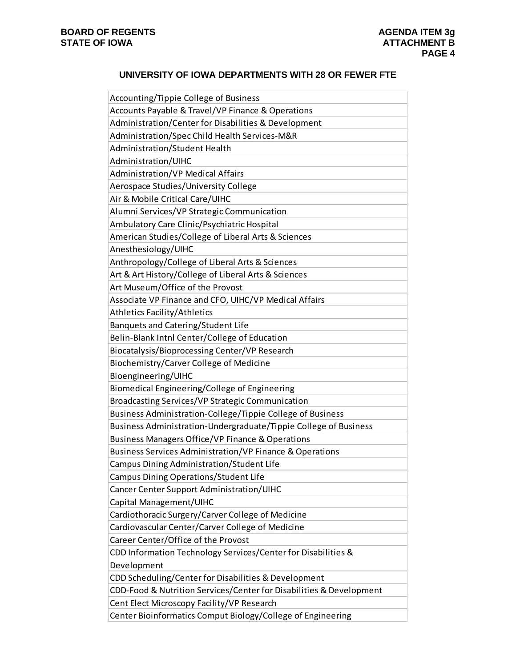#### **UNIVERSITY OF IOWA DEPARTMENTS WITH 28 OR FEWER FTE**

| Accounting/Tippie College of Business                               |
|---------------------------------------------------------------------|
| Accounts Payable & Travel/VP Finance & Operations                   |
| Administration/Center for Disabilities & Development                |
| Administration/Spec Child Health Services-M&R                       |
| Administration/Student Health                                       |
| Administration/UIHC                                                 |
| <b>Administration/VP Medical Affairs</b>                            |
| Aerospace Studies/University College                                |
| Air & Mobile Critical Care/UIHC                                     |
| Alumni Services/VP Strategic Communication                          |
| Ambulatory Care Clinic/Psychiatric Hospital                         |
| American Studies/College of Liberal Arts & Sciences                 |
| Anesthesiology/UIHC                                                 |
| Anthropology/College of Liberal Arts & Sciences                     |
| Art & Art History/College of Liberal Arts & Sciences                |
| Art Museum/Office of the Provost                                    |
| Associate VP Finance and CFO, UIHC/VP Medical Affairs               |
| <b>Athletics Facility/Athletics</b>                                 |
| Banquets and Catering/Student Life                                  |
| Belin-Blank Intnl Center/College of Education                       |
| Biocatalysis/Bioprocessing Center/VP Research                       |
| Biochemistry/Carver College of Medicine                             |
| Bioengineering/UIHC                                                 |
| Biomedical Engineering/College of Engineering                       |
| Broadcasting Services/VP Strategic Communication                    |
| Business Administration-College/Tippie College of Business          |
| Business Administration-Undergraduate/Tippie College of Business    |
| Business Managers Office/VP Finance & Operations                    |
| Business Services Administration/VP Finance & Operations            |
| Campus Dining Administration/Student Life                           |
| Campus Dining Operations/Student Life                               |
| Cancer Center Support Administration/UIHC                           |
| Capital Management/UIHC                                             |
| Cardiothoracic Surgery/Carver College of Medicine                   |
| Cardiovascular Center/Carver College of Medicine                    |
| Career Center/Office of the Provost                                 |
| CDD Information Technology Services/Center for Disabilities &       |
| Development                                                         |
| CDD Scheduling/Center for Disabilities & Development                |
| CDD-Food & Nutrition Services/Center for Disabilities & Development |
| Cent Elect Microscopy Facility/VP Research                          |
| Center Bioinformatics Comput Biology/College of Engineering         |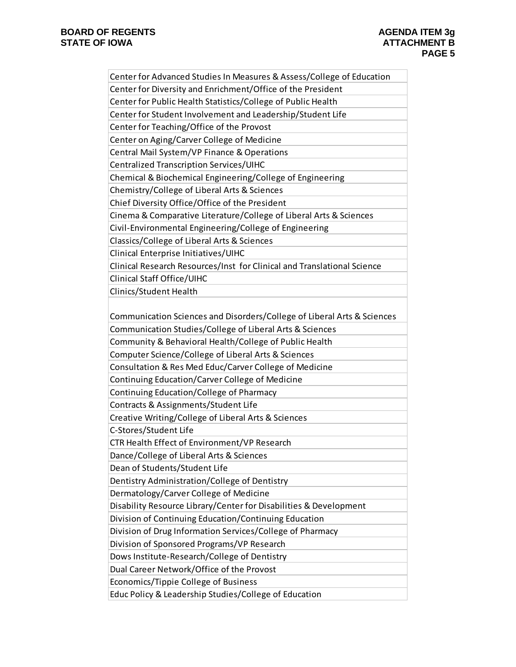| Center for Advanced Studies In Measures & Assess/College of Education   |
|-------------------------------------------------------------------------|
| Center for Diversity and Enrichment/Office of the President             |
| Center for Public Health Statistics/College of Public Health            |
| Center for Student Involvement and Leadership/Student Life              |
| Center for Teaching/Office of the Provost                               |
| Center on Aging/Carver College of Medicine                              |
| Central Mail System/VP Finance & Operations                             |
| Centralized Transcription Services/UIHC                                 |
| Chemical & Biochemical Engineering/College of Engineering               |
| Chemistry/College of Liberal Arts & Sciences                            |
| Chief Diversity Office/Office of the President                          |
| Cinema & Comparative Literature/College of Liberal Arts & Sciences      |
| Civil-Environmental Engineering/College of Engineering                  |
| Classics/College of Liberal Arts & Sciences                             |
| Clinical Enterprise Initiatives/UIHC                                    |
| Clinical Research Resources/Inst for Clinical and Translational Science |
| Clinical Staff Office/UIHC                                              |
| Clinics/Student Health                                                  |
|                                                                         |
| Communication Sciences and Disorders/College of Liberal Arts & Sciences |
| Communication Studies/College of Liberal Arts & Sciences                |
| Community & Behavioral Health/College of Public Health                  |
| Computer Science/College of Liberal Arts & Sciences                     |
| Consultation & Res Med Educ/Carver College of Medicine                  |
| Continuing Education/Carver College of Medicine                         |
| Continuing Education/College of Pharmacy                                |
| Contracts & Assignments/Student Life                                    |
| Creative Writing/College of Liberal Arts & Sciences                     |
| C-Stores/Student Life                                                   |
| CTR Health Effect of Environment/VP Research                            |
| Dance/College of Liberal Arts & Sciences                                |
| Dean of Students/Student Life                                           |
| Dentistry Administration/College of Dentistry                           |
| Dermatology/Carver College of Medicine                                  |
| Disability Resource Library/Center for Disabilities & Development       |
| Division of Continuing Education/Continuing Education                   |
| Division of Drug Information Services/College of Pharmacy               |
| Division of Sponsored Programs/VP Research                              |
| Dows Institute-Research/College of Dentistry                            |
| Dual Career Network/Office of the Provost                               |
| Economics/Tippie College of Business                                    |
| Educ Policy & Leadership Studies/College of Education                   |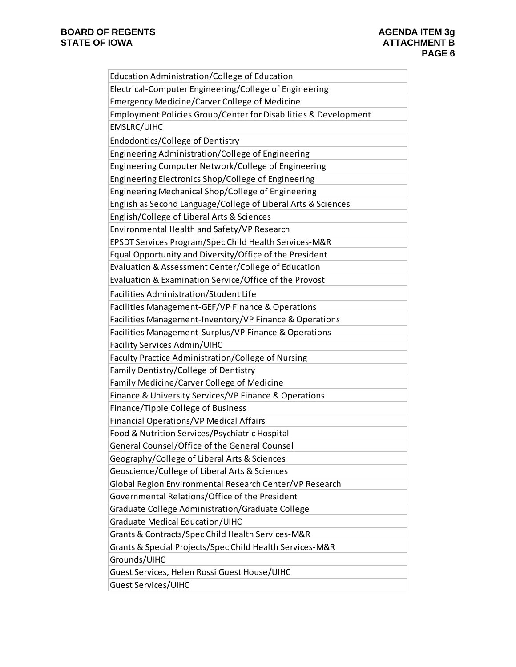| Education Administration/College of Education                   |
|-----------------------------------------------------------------|
| Electrical-Computer Engineering/College of Engineering          |
| <b>Emergency Medicine/Carver College of Medicine</b>            |
| Employment Policies Group/Center for Disabilities & Development |
| <b>EMSLRC/UIHC</b>                                              |
| Endodontics/College of Dentistry                                |
| Engineering Administration/College of Engineering               |
| Engineering Computer Network/College of Engineering             |
| Engineering Electronics Shop/College of Engineering             |
| Engineering Mechanical Shop/College of Engineering              |
| English as Second Language/College of Liberal Arts & Sciences   |
| English/College of Liberal Arts & Sciences                      |
| Environmental Health and Safety/VP Research                     |
| EPSDT Services Program/Spec Child Health Services-M&R           |
| Equal Opportunity and Diversity/Office of the President         |
| Evaluation & Assessment Center/College of Education             |
| Evaluation & Examination Service/Office of the Provost          |
| Facilities Administration/Student Life                          |
| Facilities Management-GEF/VP Finance & Operations               |
| Facilities Management-Inventory/VP Finance & Operations         |
| Facilities Management-Surplus/VP Finance & Operations           |
| Facility Services Admin/UIHC                                    |
| Faculty Practice Administration/College of Nursing              |
| Family Dentistry/College of Dentistry                           |
| Family Medicine/Carver College of Medicine                      |
| Finance & University Services/VP Finance & Operations           |
| Finance/Tippie College of Business                              |
| Financial Operations/VP Medical Affairs                         |
| Food & Nutrition Services/Psychiatric Hospital                  |
| General Counsel/Office of the General Counsel                   |
| Geography/College of Liberal Arts & Sciences                    |
| Geoscience/College of Liberal Arts & Sciences                   |
| Global Region Environmental Research Center/VP Research         |
| Governmental Relations/Office of the President                  |
| Graduate College Administration/Graduate College                |
| <b>Graduate Medical Education/UIHC</b>                          |
| Grants & Contracts/Spec Child Health Services-M&R               |
| Grants & Special Projects/Spec Child Health Services-M&R        |
| Grounds/UIHC                                                    |
| Guest Services, Helen Rossi Guest House/UIHC                    |
| <b>Guest Services/UIHC</b>                                      |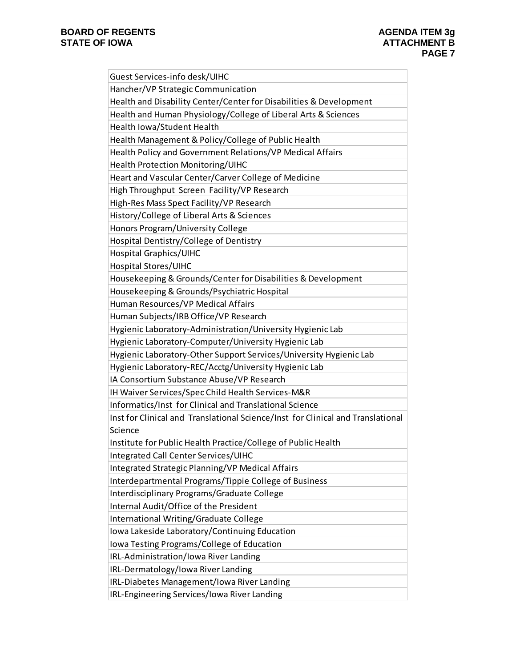| Guest Services-info desk/UIHC                                                   |
|---------------------------------------------------------------------------------|
| Hancher/VP Strategic Communication                                              |
| Health and Disability Center/Center for Disabilities & Development              |
| Health and Human Physiology/College of Liberal Arts & Sciences                  |
| Health Iowa/Student Health                                                      |
| Health Management & Policy/College of Public Health                             |
| Health Policy and Government Relations/VP Medical Affairs                       |
| Health Protection Monitoring/UIHC                                               |
| Heart and Vascular Center/Carver College of Medicine                            |
| High Throughput Screen Facility/VP Research                                     |
| High-Res Mass Spect Facility/VP Research                                        |
| History/College of Liberal Arts & Sciences                                      |
| Honors Program/University College                                               |
| Hospital Dentistry/College of Dentistry                                         |
| Hospital Graphics/UIHC                                                          |
| Hospital Stores/UIHC                                                            |
| Housekeeping & Grounds/Center for Disabilities & Development                    |
| Housekeeping & Grounds/Psychiatric Hospital                                     |
| Human Resources/VP Medical Affairs                                              |
| Human Subjects/IRB Office/VP Research                                           |
| Hygienic Laboratory-Administration/University Hygienic Lab                      |
| Hygienic Laboratory-Computer/University Hygienic Lab                            |
| Hygienic Laboratory-Other Support Services/University Hygienic Lab              |
| Hygienic Laboratory-REC/Acctg/University Hygienic Lab                           |
| IA Consortium Substance Abuse/VP Research                                       |
| IH Waiver Services/Spec Child Health Services-M&R                               |
| Informatics/Inst for Clinical and Translational Science                         |
| Inst for Clinical and Translational Science/Inst for Clinical and Translational |
| Science                                                                         |
| Institute for Public Health Practice/College of Public Health                   |
| Integrated Call Center Services/UIHC                                            |
| Integrated Strategic Planning/VP Medical Affairs                                |
| Interdepartmental Programs/Tippie College of Business                           |
| Interdisciplinary Programs/Graduate College                                     |
| Internal Audit/Office of the President                                          |
| International Writing/Graduate College                                          |
| Iowa Lakeside Laboratory/Continuing Education                                   |
| Iowa Testing Programs/College of Education                                      |
| IRL-Administration/Iowa River Landing                                           |
| IRL-Dermatology/Iowa River Landing                                              |
| IRL-Diabetes Management/Iowa River Landing                                      |
| IRL-Engineering Services/Iowa River Landing                                     |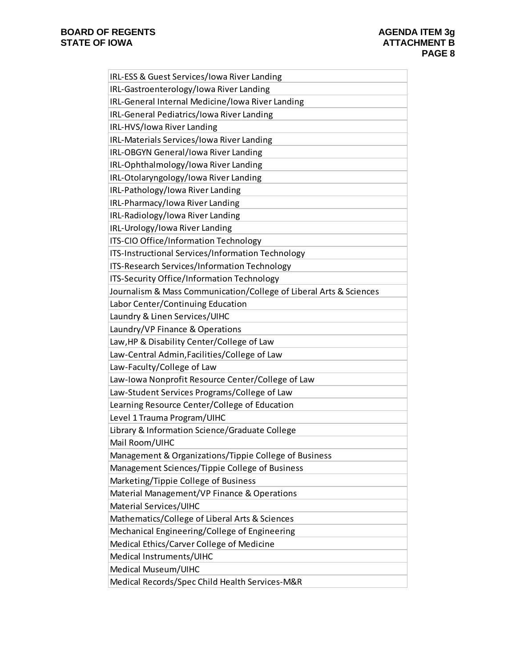| IRL-ESS & Guest Services/Iowa River Landing                        |
|--------------------------------------------------------------------|
| IRL-Gastroenterology/Iowa River Landing                            |
| IRL-General Internal Medicine/Iowa River Landing                   |
| IRL-General Pediatrics/Iowa River Landing                          |
| IRL-HVS/Iowa River Landing                                         |
| IRL-Materials Services/Iowa River Landing                          |
| IRL-OBGYN General/Iowa River Landing                               |
| IRL-Ophthalmology/lowa River Landing                               |
| IRL-Otolaryngology/Iowa River Landing                              |
| IRL-Pathology/Iowa River Landing                                   |
| IRL-Pharmacy/Iowa River Landing                                    |
| IRL-Radiology/Iowa River Landing                                   |
| IRL-Urology/Iowa River Landing                                     |
| ITS-CIO Office/Information Technology                              |
| ITS-Instructional Services/Information Technology                  |
| ITS-Research Services/Information Technology                       |
| ITS-Security Office/Information Technology                         |
| Journalism & Mass Communication/College of Liberal Arts & Sciences |
| Labor Center/Continuing Education                                  |
| Laundry & Linen Services/UIHC                                      |
| Laundry/VP Finance & Operations                                    |
| Law, HP & Disability Center/College of Law                         |
| Law-Central Admin, Facilities/College of Law                       |
| Law-Faculty/College of Law                                         |
| Law-Iowa Nonprofit Resource Center/College of Law                  |
| Law-Student Services Programs/College of Law                       |
| Learning Resource Center/College of Education                      |
| Level 1 Trauma Program/UIHC                                        |
| Library & Information Science/Graduate College                     |
| Mail Room/UIHC                                                     |
| Management & Organizations/Tippie College of Business              |
| Management Sciences/Tippie College of Business                     |
| Marketing/Tippie College of Business                               |
| Material Management/VP Finance & Operations                        |
| Material Services/UIHC                                             |
| Mathematics/College of Liberal Arts & Sciences                     |
| Mechanical Engineering/College of Engineering                      |
| Medical Ethics/Carver College of Medicine                          |
| Medical Instruments/UIHC                                           |
| Medical Museum/UIHC                                                |
| Medical Records/Spec Child Health Services-M&R                     |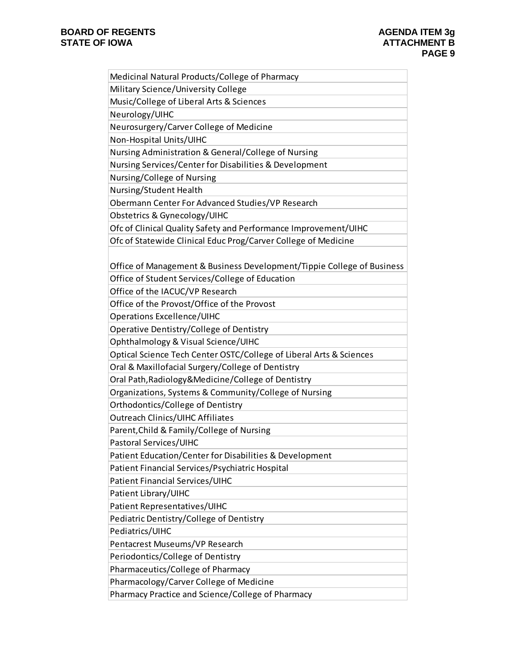| Medicinal Natural Products/College of Pharmacy                         |
|------------------------------------------------------------------------|
| Military Science/University College                                    |
| Music/College of Liberal Arts & Sciences                               |
| Neurology/UIHC                                                         |
| Neurosurgery/Carver College of Medicine                                |
| Non-Hospital Units/UIHC                                                |
| Nursing Administration & General/College of Nursing                    |
| Nursing Services/Center for Disabilities & Development                 |
| Nursing/College of Nursing                                             |
| Nursing/Student Health                                                 |
| Obermann Center For Advanced Studies/VP Research                       |
| Obstetrics & Gynecology/UIHC                                           |
| Ofc of Clinical Quality Safety and Performance Improvement/UIHC        |
| Ofc of Statewide Clinical Educ Prog/Carver College of Medicine         |
|                                                                        |
| Office of Management & Business Development/Tippie College of Business |
| Office of Student Services/College of Education                        |
| Office of the IACUC/VP Research                                        |
| Office of the Provost/Office of the Provost                            |
| <b>Operations Excellence/UIHC</b>                                      |
| Operative Dentistry/College of Dentistry                               |
| Ophthalmology & Visual Science/UIHC                                    |
| Optical Science Tech Center OSTC/College of Liberal Arts & Sciences    |
| Oral & Maxillofacial Surgery/College of Dentistry                      |
| Oral Path, Radiology & Medicine/College of Dentistry                   |
| Organizations, Systems & Community/College of Nursing                  |
| Orthodontics/College of Dentistry                                      |
| <b>Outreach Clinics/UIHC Affiliates</b>                                |
| Parent, Child & Family/College of Nursing                              |
| Pastoral Services/UIHC                                                 |
| Patient Education/Center for Disabilities & Development                |
| Patient Financial Services/Psychiatric Hospital                        |
| Patient Financial Services/UIHC                                        |
| Patient Library/UIHC                                                   |
| Patient Representatives/UIHC                                           |
| Pediatric Dentistry/College of Dentistry                               |
| Pediatrics/UIHC                                                        |
| Pentacrest Museums/VP Research                                         |
| Periodontics/College of Dentistry                                      |
| Pharmaceutics/College of Pharmacy                                      |
| Pharmacology/Carver College of Medicine                                |
| Pharmacy Practice and Science/College of Pharmacy                      |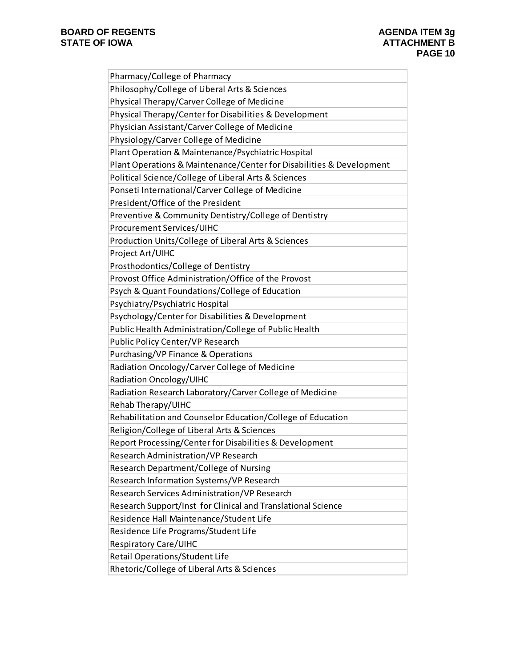| Pharmacy/College of Pharmacy                                         |
|----------------------------------------------------------------------|
| Philosophy/College of Liberal Arts & Sciences                        |
| Physical Therapy/Carver College of Medicine                          |
| Physical Therapy/Center for Disabilities & Development               |
| Physician Assistant/Carver College of Medicine                       |
| Physiology/Carver College of Medicine                                |
| Plant Operation & Maintenance/Psychiatric Hospital                   |
| Plant Operations & Maintenance/Center for Disabilities & Development |
| Political Science/College of Liberal Arts & Sciences                 |
| Ponseti International/Carver College of Medicine                     |
| President/Office of the President                                    |
| Preventive & Community Dentistry/College of Dentistry                |
| Procurement Services/UIHC                                            |
| Production Units/College of Liberal Arts & Sciences                  |
| Project Art/UIHC                                                     |
| Prosthodontics/College of Dentistry                                  |
| Provost Office Administration/Office of the Provost                  |
| Psych & Quant Foundations/College of Education                       |
| Psychiatry/Psychiatric Hospital                                      |
| Psychology/Center for Disabilities & Development                     |
| Public Health Administration/College of Public Health                |
| Public Policy Center/VP Research                                     |
| Purchasing/VP Finance & Operations                                   |
| Radiation Oncology/Carver College of Medicine                        |
| Radiation Oncology/UIHC                                              |
| Radiation Research Laboratory/Carver College of Medicine             |
| Rehab Therapy/UIHC                                                   |
| Rehabilitation and Counselor Education/College of Education          |
| Religion/College of Liberal Arts & Sciences                          |
| Report Processing/Center for Disabilities & Development              |
| Research Administration/VP Research                                  |
| Research Department/College of Nursing                               |
| Research Information Systems/VP Research                             |
| Research Services Administration/VP Research                         |
| Research Support/Inst for Clinical and Translational Science         |
| Residence Hall Maintenance/Student Life                              |
| Residence Life Programs/Student Life                                 |
| <b>Respiratory Care/UIHC</b>                                         |
| Retail Operations/Student Life                                       |
| Rhetoric/College of Liberal Arts & Sciences                          |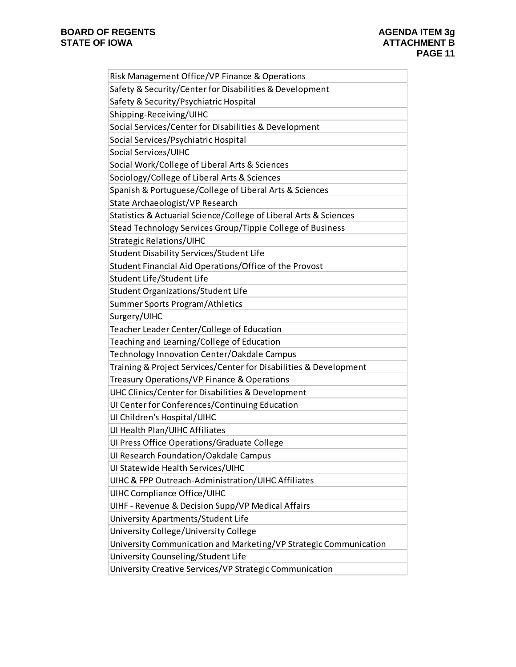| Risk Management Office/VP Finance & Operations                    |
|-------------------------------------------------------------------|
| Safety & Security/Center for Disabilities & Development           |
| Safety & Security/Psychiatric Hospital                            |
| Shipping-Receiving/UIHC                                           |
| Social Services/Center for Disabilities & Development             |
| Social Services/Psychiatric Hospital                              |
| Social Services/UIHC                                              |
| Social Work/College of Liberal Arts & Sciences                    |
| Sociology/College of Liberal Arts & Sciences                      |
| Spanish & Portuguese/College of Liberal Arts & Sciences           |
| State Archaeologist/VP Research                                   |
| Statistics & Actuarial Science/College of Liberal Arts & Sciences |
| Stead Technology Services Group/Tippie College of Business        |
| <b>Strategic Relations/UIHC</b>                                   |
| <b>Student Disability Services/Student Life</b>                   |
| Student Financial Aid Operations/Office of the Provost            |
| Student Life/Student Life                                         |
| Student Organizations/Student Life                                |
| Summer Sports Program/Athletics                                   |
| Surgery/UIHC                                                      |
| Teacher Leader Center/College of Education                        |
| Teaching and Learning/College of Education                        |
| Technology Innovation Center/Oakdale Campus                       |
| Training & Project Services/Center for Disabilities & Development |
| Treasury Operations/VP Finance & Operations                       |
| UHC Clinics/Center for Disabilities & Development                 |
| UI Center for Conferences/Continuing Education                    |
| UI Children's Hospital/UIHC                                       |
| UI Health Plan/UIHC Affiliates                                    |
| Ul Press Office Operations/Graduate College                       |
| Ul Research Foundation/Oakdale Campus                             |
| Ul Statewide Health Services/UIHC                                 |
| UIHC & FPP Outreach-Administration/UIHC Affiliates                |
| UIHC Compliance Office/UIHC                                       |
| UIHF - Revenue & Decision Supp/VP Medical Affairs                 |
| University Apartments/Student Life                                |
| University College/University College                             |
| University Communication and Marketing/VP Strategic Communication |
| University Counseling/Student Life                                |
| University Creative Services/VP Strategic Communication           |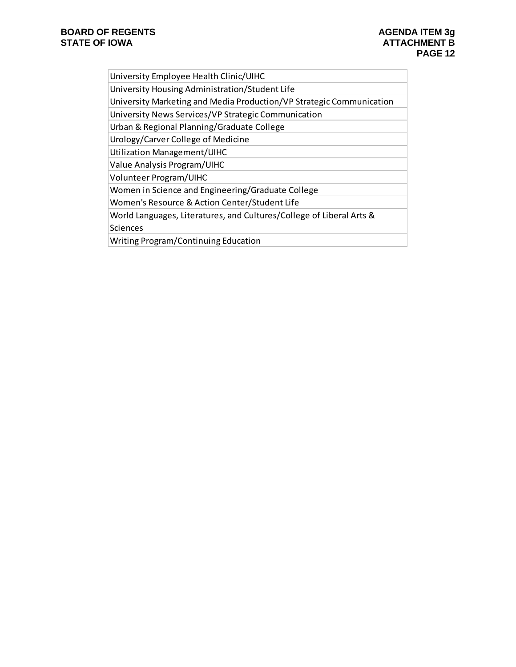| University Employee Health Clinic/UIHC |  |  |
|----------------------------------------|--|--|
|                                        |  |  |

University Housing Administration/Student Life

University Marketing and Media Production/VP Strategic Communication

University News Services/VP Strategic Communication

Urban & Regional Planning/Graduate College

Urology/Carver College of Medicine

Utilization Management/UIHC

Value Analysis Program/UIHC

Volunteer Program/UIHC

Women in Science and Engineering/Graduate College

Women's Resource & Action Center/Student Life

World Languages, Literatures, and Cultures/College of Liberal Arts &

Sciences

Writing Program/Continuing Education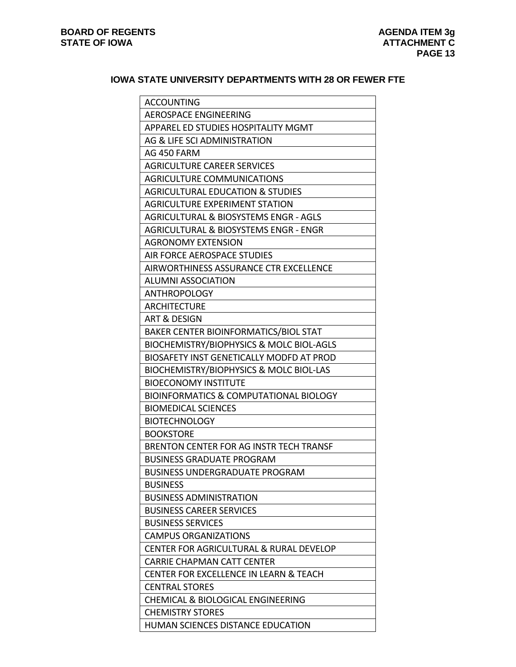# **IOWA STATE UNIVERSITY DEPARTMENTS WITH 28 OR FEWER FTE**

| <b>ACCOUNTING</b>                                 |
|---------------------------------------------------|
| <b>AEROSPACE ENGINEERING</b>                      |
| APPAREL ED STUDIES HOSPITALITY MGMT               |
| AG & LIFE SCI ADMINISTRATION                      |
| AG 450 FARM                                       |
| <b>AGRICULTURE CAREER SERVICES</b>                |
| <b>AGRICULTURE COMMUNICATIONS</b>                 |
| <b>AGRICULTURAL EDUCATION &amp; STUDIES</b>       |
| <b>AGRICULTURE EXPERIMENT STATION</b>             |
| AGRICULTURAL & BIOSYSTEMS ENGR - AGLS             |
| AGRICULTURAL & BIOSYSTEMS ENGR - ENGR             |
| <b>AGRONOMY EXTENSION</b>                         |
| AIR FORCE AEROSPACE STUDIES                       |
| AIRWORTHINESS ASSURANCE CTR EXCELLENCE            |
| <b>ALUMNI ASSOCIATION</b>                         |
| <b>ANTHROPOLOGY</b>                               |
| <b>ARCHITECTURE</b>                               |
| <b>ART &amp; DESIGN</b>                           |
| BAKER CENTER BIOINFORMATICS/BIOL STAT             |
| BIOCHEMISTRY/BIOPHYSICS & MOLC BIOL-AGLS          |
| BIOSAFETY INST GENETICALLY MODFD AT PROD          |
| BIOCHEMISTRY/BIOPHYSICS & MOLC BIOL-LAS           |
| <b>BIOECONOMY INSTITUTE</b>                       |
| BIOINFORMATICS & COMPUTATIONAL BIOLOGY            |
| <b>BIOMEDICAL SCIENCES</b>                        |
| <b>BIOTECHNOLOGY</b>                              |
| <b>BOOKSTORE</b>                                  |
| BRENTON CENTER FOR AG INSTR TECH TRANSF           |
| <b>BUSINESS GRADUATE PROGRAM</b>                  |
| <b>BUSINESS UNDERGRADUATE PROGRAM</b>             |
| <b>BUSINESS</b>                                   |
| <b>BUSINESS ADMINISTRATION</b>                    |
| <b>BUSINESS CAREER SERVICES</b>                   |
| <b>BUSINESS SERVICES</b>                          |
| <b>CAMPUS ORGANIZATIONS</b>                       |
| CENTER FOR AGRICULTURAL & RURAL DEVELOP           |
| <b>CARRIE CHAPMAN CATT CENTER</b>                 |
| <b>CENTER FOR EXCELLENCE IN LEARN &amp; TEACH</b> |
| <b>CENTRAL STORES</b>                             |
| <b>CHEMICAL &amp; BIOLOGICAL ENGINEERING</b>      |
| <b>CHEMISTRY STORES</b>                           |
| HUMAN SCIENCES DISTANCE EDUCATION                 |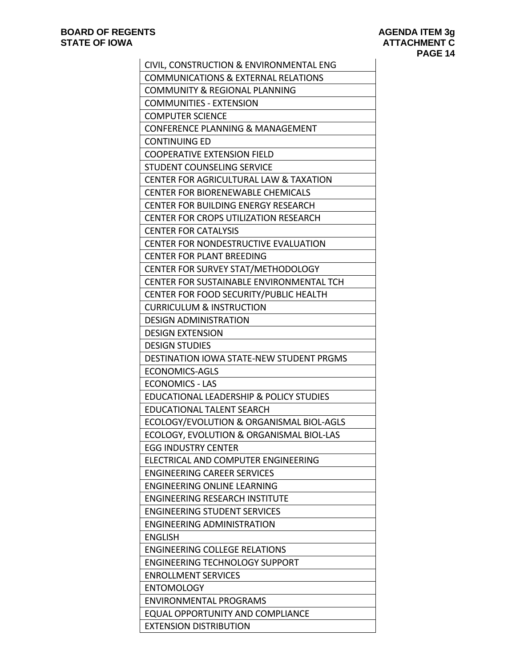| CIVIL, CONSTRUCTION & ENVIRONMENTAL ENG                           |
|-------------------------------------------------------------------|
| <b>COMMUNICATIONS &amp; EXTERNAL RELATIONS</b>                    |
| <b>COMMUNITY &amp; REGIONAL PLANNING</b>                          |
| <b>COMMUNITIES - EXTENSION</b>                                    |
| <b>COMPUTER SCIENCE</b>                                           |
| <b>CONFERENCE PLANNING &amp; MANAGEMENT</b>                       |
| <b>CONTINUING ED</b>                                              |
| <b>COOPERATIVE EXTENSION FIELD</b>                                |
| STUDENT COUNSELING SERVICE                                        |
| <b>CENTER FOR AGRICULTURAL LAW &amp; TAXATION</b>                 |
| <b>CENTER FOR BIORENEWABLE CHEMICALS</b>                          |
| <b>CENTER FOR BUILDING ENERGY RESEARCH</b>                        |
| CENTER FOR CROPS UTILIZATION RESEARCH                             |
| <b>CENTER FOR CATALYSIS</b>                                       |
| <b>CENTER FOR NONDESTRUCTIVE EVALUATION</b>                       |
| <b>CENTER FOR PLANT BREEDING</b>                                  |
| CENTER FOR SURVEY STAT/METHODOLOGY                                |
| CENTER FOR SUSTAINABLE ENVIRONMENTAL TCH                          |
| CENTER FOR FOOD SECURITY/PUBLIC HEALTH                            |
| <b>CURRICULUM &amp; INSTRUCTION</b>                               |
| <b>DESIGN ADMINISTRATION</b>                                      |
| <b>DESIGN EXTENSION</b>                                           |
| <b>DESIGN STUDIES</b>                                             |
| DESTINATION IOWA STATE-NEW STUDENT PRGMS                          |
| <b>ECONOMICS-AGLS</b>                                             |
| <b>ECONOMICS - LAS</b><br>EDUCATIONAL LEADERSHIP & POLICY STUDIES |
| EDUCATIONAL TALENT SEARCH                                         |
| ECOLOGY/EVOLUTION & ORGANISMAL BIOL-AGLS                          |
| ECOLOGY, EVOLUTION & ORGANISMAL BIOL-LAS                          |
| <b>EGG INDUSTRY CENTER</b>                                        |
| ELECTRICAL AND COMPUTER ENGINEERING                               |
| <b>ENGINEERING CAREER SERVICES</b>                                |
| <b>ENGINEERING ONLINE LEARNING</b>                                |
| <b>ENGINEERING RESEARCH INSTITUTE</b>                             |
| <b>ENGINEERING STUDENT SERVICES</b>                               |
| <b>ENGINEERING ADMINISTRATION</b>                                 |
| <b>ENGLISH</b>                                                    |
| <b>ENGINEERING COLLEGE RELATIONS</b>                              |
| <b>ENGINEERING TECHNOLOGY SUPPORT</b>                             |
| <b>ENROLLMENT SERVICES</b>                                        |
| <b>ENTOMOLOGY</b>                                                 |
| <b>ENVIRONMENTAL PROGRAMS</b>                                     |
| <b>EQUAL OPPORTUNITY AND COMPLIANCE</b>                           |
| <b>EXTENSION DISTRIBUTION</b>                                     |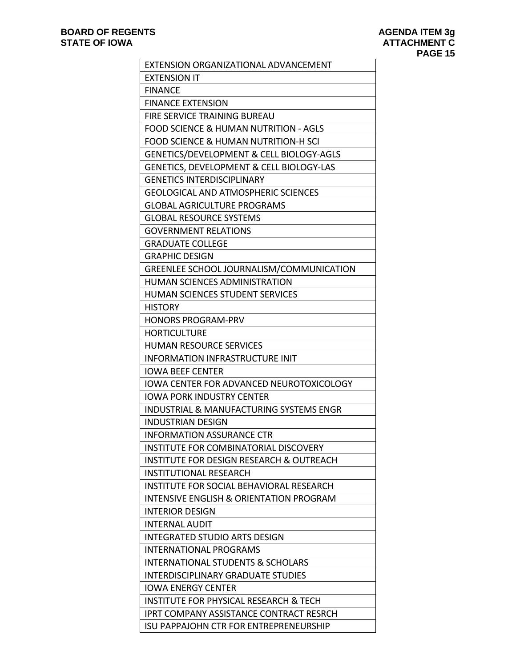| EXTENSION ORGANIZATIONAL ADVANCEMENT                |
|-----------------------------------------------------|
| <b>EXTENSION IT</b>                                 |
| <b>FINANCE</b>                                      |
| <b>FINANCE EXTENSION</b>                            |
| FIRE SERVICE TRAINING BUREAU                        |
| FOOD SCIENCE & HUMAN NUTRITION - AGLS               |
| <b>FOOD SCIENCE &amp; HUMAN NUTRITION-H SCI</b>     |
| GENETICS/DEVELOPMENT & CELL BIOLOGY-AGLS            |
| GENETICS, DEVELOPMENT & CELL BIOLOGY-LAS            |
| <b>GENETICS INTERDISCIPLINARY</b>                   |
| <b>GEOLOGICAL AND ATMOSPHERIC SCIENCES</b>          |
| <b>GLOBAL AGRICULTURE PROGRAMS</b>                  |
| <b>GLOBAL RESOURCE SYSTEMS</b>                      |
| <b>GOVERNMENT RELATIONS</b>                         |
| <b>GRADUATE COLLEGE</b>                             |
| <b>GRAPHIC DESIGN</b>                               |
| GREENLEE SCHOOL JOURNALISM/COMMUNICATION            |
| <b>HUMAN SCIENCES ADMINISTRATION</b>                |
| <b>HUMAN SCIENCES STUDENT SERVICES</b>              |
| <b>HISTORY</b>                                      |
| <b>HONORS PROGRAM-PRV</b>                           |
| <b>HORTICULTURE</b>                                 |
| <b>HUMAN RESOURCE SERVICES</b>                      |
| <b>INFORMATION INFRASTRUCTURE INIT</b>              |
| <b>IOWA BEEF CENTER</b>                             |
| <b>IOWA CENTER FOR ADVANCED NEUROTOXICOLOGY</b>     |
| <b>IOWA PORK INDUSTRY CENTER</b>                    |
| INDUSTRIAL & MANUFACTURING SYSTEMS ENGR             |
| <b>INDUSTRIAN DESIGN</b>                            |
| <b>INFORMATION ASSURANCE CTR</b>                    |
| INSTITUTE FOR COMBINATORIAL DISCOVERY               |
| <b>INSTITUTE FOR DESIGN RESEARCH &amp; OUTREACH</b> |
| <b>INSTITUTIONAL RESEARCH</b>                       |
| INSTITUTE FOR SOCIAL BEHAVIORAL RESEARCH            |
| INTENSIVE ENGLISH & ORIENTATION PROGRAM             |
| <b>INTERIOR DESIGN</b>                              |
| <b>INTERNAL AUDIT</b>                               |
| INTEGRATED STUDIO ARTS DESIGN                       |
| <b>INTERNATIONAL PROGRAMS</b>                       |
| INTERNATIONAL STUDENTS & SCHOLARS                   |
| <b>INTERDISCIPLINARY GRADUATE STUDIES</b>           |
| <b>IOWA ENERGY CENTER</b>                           |
| INSTITUTE FOR PHYSICAL RESEARCH & TECH              |
| IPRT COMPANY ASSISTANCE CONTRACT RESRCH             |
| <b>ISU PAPPAJOHN CTR FOR ENTREPRENEURSHIP</b>       |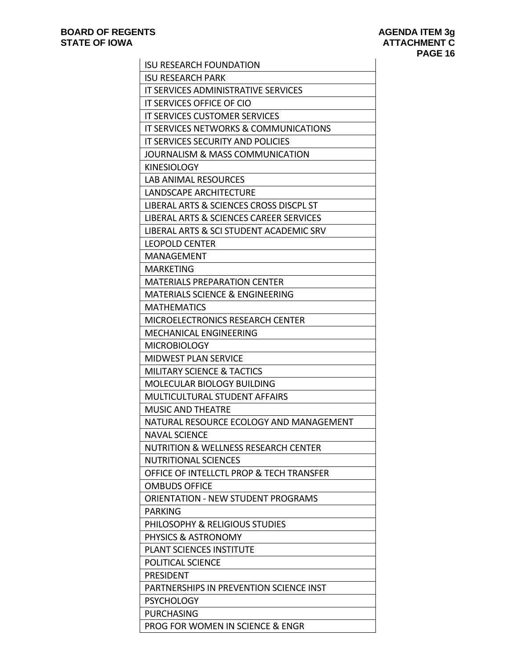| <b>ISU RESEARCH FOUNDATION</b>                     |  |  |
|----------------------------------------------------|--|--|
| <b>ISU RESEARCH PARK</b>                           |  |  |
| IT SERVICES ADMINISTRATIVE SERVICES                |  |  |
| IT SERVICES OFFICE OF CIO                          |  |  |
| <b>IT SERVICES CUSTOMER SERVICES</b>               |  |  |
| IT SERVICES NETWORKS & COMMUNICATIONS              |  |  |
| <b>IT SERVICES SECURITY AND POLICIES</b>           |  |  |
| JOURNALISM & MASS COMMUNICATION                    |  |  |
| <b>KINESIOLOGY</b>                                 |  |  |
| <b>LAB ANIMAL RESOURCES</b>                        |  |  |
| LANDSCAPE ARCHITECTURE                             |  |  |
| LIBERAL ARTS & SCIENCES CROSS DISCPL ST            |  |  |
| <b>LIBERAL ARTS &amp; SCIENCES CAREER SERVICES</b> |  |  |
| LIBERAL ARTS & SCI STUDENT ACADEMIC SRV            |  |  |
| <b>LEOPOLD CENTER</b>                              |  |  |
| MANAGEMENT                                         |  |  |
| <b>MARKETING</b>                                   |  |  |
| <b>MATERIALS PREPARATION CENTER</b>                |  |  |
| <b>MATERIALS SCIENCE &amp; ENGINEERING</b>         |  |  |
| <b>MATHEMATICS</b>                                 |  |  |
| MICROELECTRONICS RESEARCH CENTER                   |  |  |
| MECHANICAL ENGINEERING                             |  |  |
| <b>MICROBIOLOGY</b>                                |  |  |
| <b>MIDWEST PLAN SERVICE</b>                        |  |  |
| <b>MILITARY SCIENCE &amp; TACTICS</b>              |  |  |
| <b>MOLECULAR BIOLOGY BUILDING</b>                  |  |  |
| <b>MULTICULTURAL STUDENT AFFAIRS</b>               |  |  |
| <b>MUSIC AND THEATRE</b>                           |  |  |
| NATURAL RESOURCE ECOLOGY AND MANAGEMENT            |  |  |
| NAVAL SCIENCE                                      |  |  |
| <b>NUTRITION &amp; WELLNESS RESEARCH CENTER</b>    |  |  |
| <b>NUTRITIONAL SCIENCES</b>                        |  |  |
| OFFICE OF INTELLCTL PROP & TECH TRANSFER           |  |  |
| <b>OMBUDS OFFICE</b>                               |  |  |
| <b>ORIENTATION - NEW STUDENT PROGRAMS</b>          |  |  |
| <b>PARKING</b>                                     |  |  |
| PHILOSOPHY & RELIGIOUS STUDIES                     |  |  |
| PHYSICS & ASTRONOMY                                |  |  |
| <b>PLANT SCIENCES INSTITUTE</b>                    |  |  |
| <b>POLITICAL SCIENCE</b>                           |  |  |
| <b>PRESIDENT</b>                                   |  |  |
| PARTNERSHIPS IN PREVENTION SCIENCE INST            |  |  |
| <b>PSYCHOLOGY</b>                                  |  |  |
| <b>PURCHASING</b>                                  |  |  |
| PROG FOR WOMEN IN SCIENCE & ENGR                   |  |  |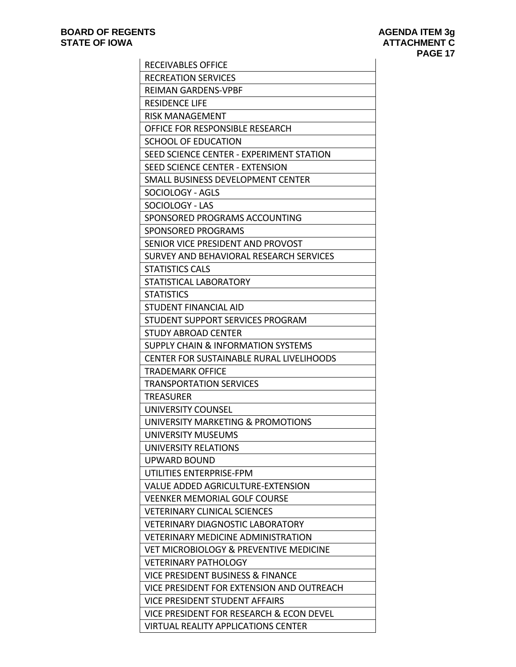| <b>RECEIVABLES OFFICE</b>                       |
|-------------------------------------------------|
| <b>RECREATION SERVICES</b>                      |
| <b>REIMAN GARDENS-VPBF</b>                      |
| <b>RESIDENCE LIFE</b>                           |
| <b>RISK MANAGEMENT</b>                          |
| OFFICE FOR RESPONSIBLE RESEARCH                 |
| SCHOOL OF EDUCATION                             |
| SEED SCIENCE CENTER - EXPERIMENT STATION        |
| SEED SCIENCE CENTER - EXTENSION                 |
| SMALL BUSINESS DEVELOPMENT CENTER               |
| SOCIOLOGY - AGLS                                |
| SOCIOLOGY - LAS                                 |
| SPONSORED PROGRAMS ACCOUNTING                   |
| SPONSORED PROGRAMS                              |
| SENIOR VICE PRESIDENT AND PROVOST               |
| SURVEY AND BEHAVIORAL RESEARCH SERVICES         |
| <b>STATISTICS CALS</b>                          |
| STATISTICAL LABORATORY                          |
| <b>STATISTICS</b>                               |
| STUDENT FINANCIAL AID                           |
| STUDENT SUPPORT SERVICES PROGRAM                |
| <b>STUDY ABROAD CENTER</b>                      |
| SUPPLY CHAIN & INFORMATION SYSTEMS              |
| <b>CENTER FOR SUSTAINABLE RURAL LIVELIHOODS</b> |
| <b>TRADEMARK OFFICE</b>                         |
| <b>TRANSPORTATION SERVICES</b>                  |
| <b>TREASURER</b>                                |
| UNIVERSITY COUNSEL                              |
| UNIVERSITY MARKETING & PROMOTIONS               |
| UNIVERSITY MUSEUMS                              |
| <b>UNIVERSITY RELATIONS</b>                     |
| UPWARD BOUND                                    |
| UTILITIES ENTERPRISE-FPM                        |
| VALUE ADDED AGRICULTURE-EXTENSION               |
| <b>VEENKER MEMORIAL GOLF COURSE</b>             |
| <b>VETERINARY CLINICAL SCIENCES</b>             |
| <b>VETERINARY DIAGNOSTIC LABORATORY</b>         |
| <b>VETERINARY MEDICINE ADMINISTRATION</b>       |
| VET MICROBIOLOGY & PREVENTIVE MEDICINE          |
| <b>VETERINARY PATHOLOGY</b>                     |
| <b>VICE PRESIDENT BUSINESS &amp; FINANCE</b>    |
| VICE PRESIDENT FOR EXTENSION AND OUTREACH       |
| VICE PRESIDENT STUDENT AFFAIRS                  |
| VICE PRESIDENT FOR RESEARCH & ECON DEVEL        |
| <b>VIRTUAL REALITY APPLICATIONS CENTER</b>      |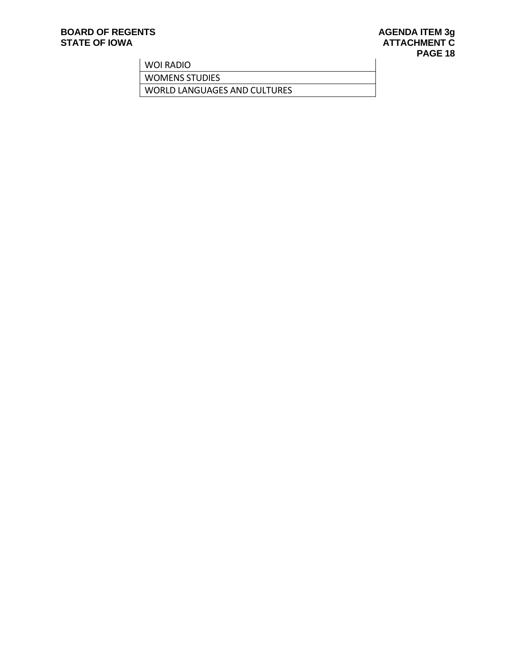# **BOARD OF REGENTS**<br> **BOARD OF REGENTS**<br> **BOARD OF IOWA**<br> **ATTACHMENT C**

WOI RADIO

WOMENS STUDIES

WORLD LANGUAGES AND CULTURES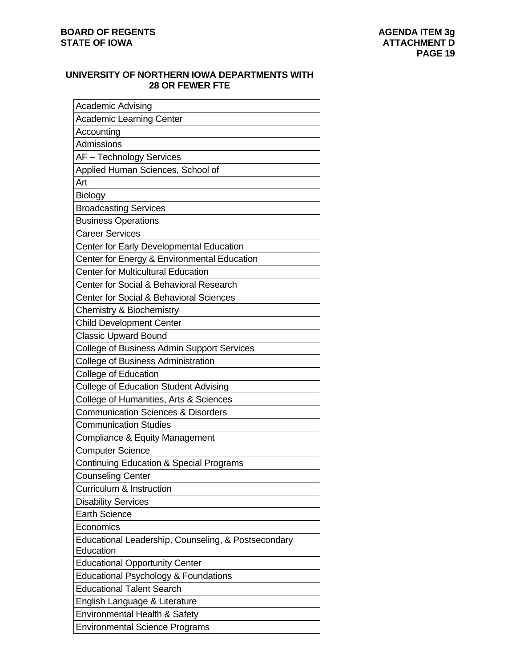# **UNIVERSITY OF NORTHERN IOWA DEPARTMENTS WITH 28 OR FEWER FTE**

| <b>Academic Advising</b>                                         |  |  |  |
|------------------------------------------------------------------|--|--|--|
| <b>Academic Learning Center</b>                                  |  |  |  |
| Accounting                                                       |  |  |  |
| Admissions                                                       |  |  |  |
| AF - Technology Services                                         |  |  |  |
| Applied Human Sciences, School of                                |  |  |  |
| Art                                                              |  |  |  |
| <b>Biology</b>                                                   |  |  |  |
| <b>Broadcasting Services</b>                                     |  |  |  |
| <b>Business Operations</b>                                       |  |  |  |
| <b>Career Services</b>                                           |  |  |  |
| Center for Early Developmental Education                         |  |  |  |
| Center for Energy & Environmental Education                      |  |  |  |
| <b>Center for Multicultural Education</b>                        |  |  |  |
| Center for Social & Behavioral Research                          |  |  |  |
| Center for Social & Behavioral Sciences                          |  |  |  |
| <b>Chemistry &amp; Biochemistry</b>                              |  |  |  |
| <b>Child Development Center</b>                                  |  |  |  |
| <b>Classic Upward Bound</b>                                      |  |  |  |
| <b>College of Business Admin Support Services</b>                |  |  |  |
| <b>College of Business Administration</b>                        |  |  |  |
| <b>College of Education</b>                                      |  |  |  |
| <b>College of Education Student Advising</b>                     |  |  |  |
| College of Humanities, Arts & Sciences                           |  |  |  |
| <b>Communication Sciences &amp; Disorders</b>                    |  |  |  |
| <b>Communication Studies</b>                                     |  |  |  |
| Compliance & Equity Management                                   |  |  |  |
| <b>Computer Science</b>                                          |  |  |  |
| <b>Continuing Education &amp; Special Programs</b>               |  |  |  |
| <b>Counseling Center</b>                                         |  |  |  |
| Curriculum & Instruction                                         |  |  |  |
| <b>Disability Services</b>                                       |  |  |  |
| <b>Earth Science</b>                                             |  |  |  |
| Economics                                                        |  |  |  |
| Educational Leadership, Counseling, & Postsecondary<br>Education |  |  |  |
| <b>Educational Opportunity Center</b>                            |  |  |  |
| Educational Psychology & Foundations                             |  |  |  |
| <b>Educational Talent Search</b>                                 |  |  |  |
| English Language & Literature                                    |  |  |  |
| Environmental Health & Safety                                    |  |  |  |
| <b>Environmental Science Programs</b>                            |  |  |  |
|                                                                  |  |  |  |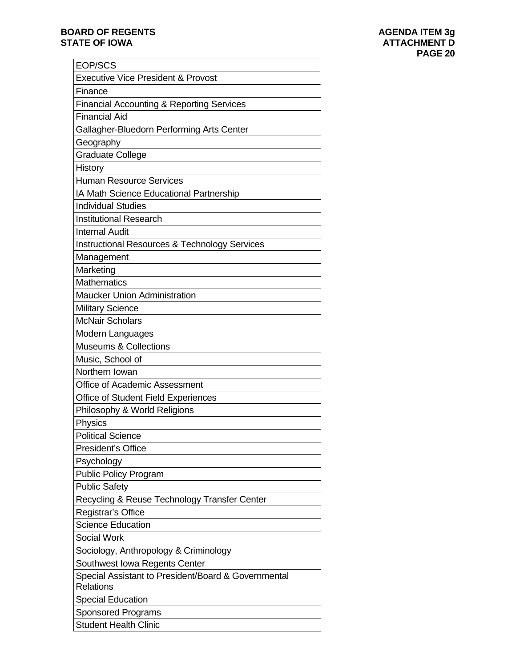## **BOARD OF REGENTS BOARD OF REGENTS STATE OF IOWA ATTACHMENT D**

| EOP/SCS                                                                 |  |  |
|-------------------------------------------------------------------------|--|--|
| <b>Executive Vice President &amp; Provost</b>                           |  |  |
| Finance                                                                 |  |  |
| <b>Financial Accounting &amp; Reporting Services</b>                    |  |  |
| <b>Financial Aid</b>                                                    |  |  |
| Gallagher-Bluedorn Performing Arts Center                               |  |  |
| Geography                                                               |  |  |
| <b>Graduate College</b>                                                 |  |  |
| History                                                                 |  |  |
| <b>Human Resource Services</b>                                          |  |  |
| IA Math Science Educational Partnership                                 |  |  |
| <b>Individual Studies</b>                                               |  |  |
| <b>Institutional Research</b>                                           |  |  |
| <b>Internal Audit</b>                                                   |  |  |
| <b>Instructional Resources &amp; Technology Services</b>                |  |  |
| Management                                                              |  |  |
| Marketing                                                               |  |  |
| <b>Mathematics</b>                                                      |  |  |
| <b>Maucker Union Administration</b>                                     |  |  |
| <b>Military Science</b>                                                 |  |  |
| <b>McNair Scholars</b>                                                  |  |  |
| Modern Languages                                                        |  |  |
| <b>Museums &amp; Collections</b>                                        |  |  |
| Music, School of                                                        |  |  |
| Northern Iowan                                                          |  |  |
| <b>Office of Academic Assessment</b>                                    |  |  |
| Office of Student Field Experiences                                     |  |  |
| Philosophy & World Religions                                            |  |  |
| Physics                                                                 |  |  |
| <b>Political Science</b>                                                |  |  |
| <b>President's Office</b>                                               |  |  |
| Psychology                                                              |  |  |
| <b>Public Policy Program</b>                                            |  |  |
| <b>Public Safety</b>                                                    |  |  |
| Recycling & Reuse Technology Transfer Center                            |  |  |
| Registrar's Office                                                      |  |  |
| <b>Science Education</b>                                                |  |  |
| <b>Social Work</b>                                                      |  |  |
| Sociology, Anthropology & Criminology                                   |  |  |
| Southwest Iowa Regents Center                                           |  |  |
| Special Assistant to President/Board & Governmental<br><b>Relations</b> |  |  |
| <b>Special Education</b>                                                |  |  |
| Sponsored Programs                                                      |  |  |
| <b>Student Health Clinic</b>                                            |  |  |